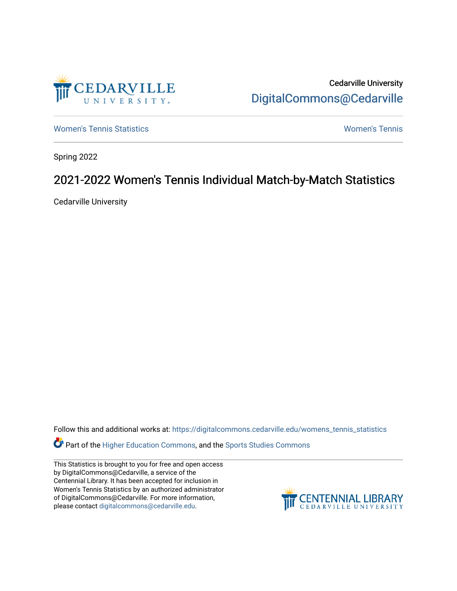

Cedarville University [DigitalCommons@Cedarville](https://digitalcommons.cedarville.edu/) 

[Women's Tennis Statistics](https://digitalcommons.cedarville.edu/womens_tennis_statistics) [Women's Tennis](https://digitalcommons.cedarville.edu/womens_tennis) 

Spring 2022

# 2021-2022 Women's Tennis Individual Match-by-Match Statistics

Cedarville University

Follow this and additional works at: [https://digitalcommons.cedarville.edu/womens\\_tennis\\_statistics](https://digitalcommons.cedarville.edu/womens_tennis_statistics?utm_source=digitalcommons.cedarville.edu%2Fwomens_tennis_statistics%2F338&utm_medium=PDF&utm_campaign=PDFCoverPages) 

**Part of the [Higher Education Commons,](https://network.bepress.com/hgg/discipline/1245?utm_source=digitalcommons.cedarville.edu%2Fwomens_tennis_statistics%2F338&utm_medium=PDF&utm_campaign=PDFCoverPages) and the Sports Studies Commons** 

This Statistics is brought to you for free and open access by DigitalCommons@Cedarville, a service of the Centennial Library. It has been accepted for inclusion in Women's Tennis Statistics by an authorized administrator of DigitalCommons@Cedarville. For more information, please contact [digitalcommons@cedarville.edu](mailto:digitalcommons@cedarville.edu).

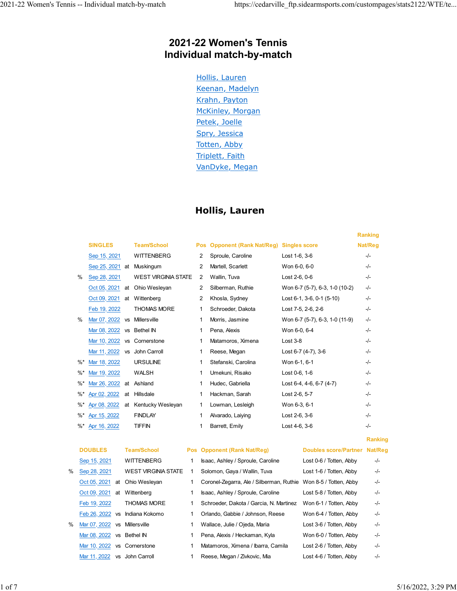### **2021-22 Women's Tennis Individual match-by-match**

Hollis, Lauren Keenan, Madelyn Krahn, Payton McKinley, Morgan Petek, Joelle Spry, Jessica Totten, Abby Triplett, Faith VanDyke, Megan

### **Hollis, Lauren**

|    |                 |           |                            |   |            |                                |                                | <b>Ranking</b> |
|----|-----------------|-----------|----------------------------|---|------------|--------------------------------|--------------------------------|----------------|
|    | <b>SINGLES</b>  |           | <b>Team/School</b>         |   | <b>Pos</b> | <b>Opponent (Rank Nat/Reg)</b> | <b>Singles score</b>           | Nat/Reg        |
|    | Sep 15, 2021    |           | <b>WITTENBERG</b>          | 2 |            | Sproule, Caroline              | Lost 1-6, 3-6                  | $-/-$          |
|    | Sep 25, 2021 at |           | Muskingum                  | 2 |            | Martell, Scarlett              | Won 6-0, 6-0                   | $-/-$          |
| ℅  | Sep 28, 2021    |           | <b>WEST VIRGINIA STATE</b> | 2 |            | Wallin, Tuva                   | Lost 2-6, 0-6                  | $-/-$          |
|    | Oct 05, 2021    | at        | Ohio Wesleyan              | 2 |            | Silberman, Ruthie              | Won 6-7 (5-7), 6-3, 1-0 (10-2) | $-I -$         |
|    | Oct 09, 2021    | at        | Wittenberg                 | 2 |            | Khosla, Sydney                 | Lost 6-1, 3-6, 0-1 (5-10)      | $-I -$         |
|    | Feb 19, 2022    |           | <b>THOMAS MORE</b>         | 1 |            | Schroeder. Dakota              | Lost 7-5, 2-6, 2-6             | $-/-$          |
| %  | Mar 07, 2022    | <b>VS</b> | Millersville               | 1 |            | Morris, Jasmine                | Won 6-7 (5-7), 6-3, 1-0 (11-9) | $-/-$          |
|    | Mar 08, 2022 vs |           | Bethel IN                  | 1 |            | Pena, Alexis                   | Won 6-0, 6-4                   | $-I -$         |
|    | Mar 10, 2022    | <b>VS</b> | Cornerstone                | 1 |            | Matamoros, Ximena              | $Last 3-8$                     | $-/-$          |
|    | Mar 11, 2022    | <b>VS</b> | John Carroll               | 1 |            | Reese, Megan                   | Lost 6-7 (4-7), 3-6            | $-/-$          |
| %* | Mar 18, 2022    |           | <b>URSULINE</b>            | 1 |            | Stefanski, Carolina            | Won 6-1, 6-1                   | $-/-$          |
| %* | Mar 19, 2022    |           | <b>WALSH</b>               | 1 |            | Umekuni, Risako                | Lost 0-6, 1-6                  | $-I -$         |
| %* | Mar 26, 2022    | at        | Ashland                    | 1 |            | Hudec, Gabriella               | Lost 6-4, 4-6, 6-7 (4-7)       | $-/-$          |
| %* | Apr 02, 2022    | at        | Hillsdale                  | 1 |            | Hackman, Sarah                 | Lost 2-6, 5-7                  | $-/-$          |
| %* | Apr 08, 2022    | at        | Kentucky Wesleyan          | 1 |            | Lowman, Lesleigh               | Won 6-3, 6-1                   | $-I -$         |
| %* | Apr 15, 2022    |           | <b>FINDLAY</b>             | 1 |            | Alvarado, Laiying              | Lost 2-6, 3-6                  | $-/-$          |
| %* | Apr 16, 2022    |           | <b>TIFFIN</b>              | 1 |            | Barrett, Emily                 | Lost 4-6, 3-6                  | $-/-$          |
|    |                 |           |                            |   |            |                                |                                | <b>Ranking</b> |
|    | <b>DOUBLES</b>  |           | <b>Team/School</b>         |   |            | Pos Opponent (Rank Nat/Reg)    | Doubles score/Partner Nat/Reg  |                |

|   | <b>DUUDLES</b>               | <u>I GAII I SCHOOL</u>         | <b>PUS Opponent (Rain Nativeg)</b>                              | <b>DUUDIES SCULE/FAILIEI NAUREU</b> |       |
|---|------------------------------|--------------------------------|-----------------------------------------------------------------|-------------------------------------|-------|
|   | Sep 15, 2021                 | <b>WITTENBERG</b>              | Isaac, Ashley / Sproule, Caroline                               | Lost 0-6 / Totten, Abby             | $-/-$ |
| % | Sep 28, 2021                 | <b>WEST VIRGINIA STATE</b>     | Solomon, Gaya / Wallin, Tuva                                    | Lost 1-6 / Totten, Abby             | -/-   |
|   |                              | Oct 05, 2021 at Ohio Wesleyan  | Coronel-Zegarra, Ale / Silberman, Ruthie Won 8-5 / Totten, Abby |                                     | $-/-$ |
|   | Oct 09, 2021 at Wittenberg   |                                | Isaac, Ashley / Sproule, Caroline                               | Lost 5-8 / Totten, Abby             | $-/-$ |
|   | Feb 19, 2022                 | <b>THOMAS MORE</b>             | Schroeder, Dakota / Garcia, N. Martinez                         | Won 6-1 / Totten, Abby              | -/-   |
|   |                              | Feb 26, 2022 vs Indiana Kokomo | Orlando, Gabbie / Johnson, Reese                                | Won 6-4 / Totten, Abby              | $-/-$ |
| % | Mar 07, 2022 vs Millersville |                                | Wallace, Julie / Ojeda, Maria                                   | Lost 3-6 / Totten, Abby             | -/-   |
|   | Mar 08, 2022 vs Bethel IN    |                                | Pena, Alexis / Heckaman, Kyla                                   | Won 6-0 / Totten, Abby              | -/-   |
|   | Mar 10, 2022 vs Cornerstone  |                                | Matamoros, Ximena / Ibarra, Camila                              | Lost 2-6 / Totten, Abby             | $-/-$ |
|   | Mar 11, 2022 vs John Carroll |                                | Reese, Megan / Zivkovic, Mia                                    | Lost 4-6 / Totten, Abby             | $-/-$ |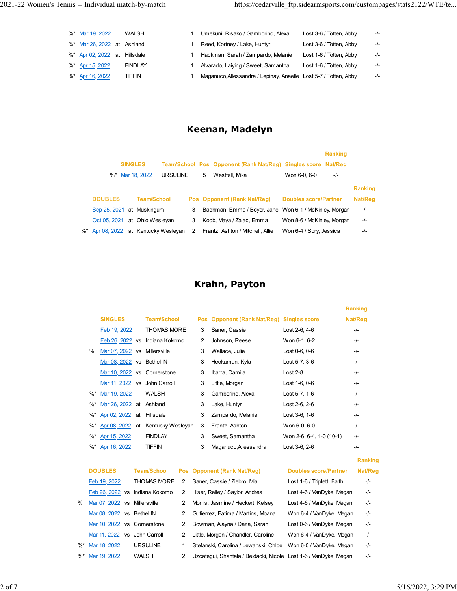| %* Mar 19, 2022              | WALSH          | Umekuni, Risako / Gamborino, Alexa                               | Lost 3-6 / Totten, Abby | $-/-$ |
|------------------------------|----------------|------------------------------------------------------------------|-------------------------|-------|
| %* Mar 26, 2022 at Ashland   |                | Reed, Kortney / Lake, Huntyr                                     | Lost 3-6 / Totten, Abby | -/-   |
| %* Apr 02, 2022 at Hillsdale |                | Hackman, Sarah / Zampardo, Melanie                               | Lost 1-6 / Totten, Abby | -/-   |
| %* Apr 15, 2022              | <b>FINDLAY</b> | Alvarado, Laiying / Sweet, Samantha                              | Lost 1-6 / Totten, Abby | -/-   |
| %* Apr 16, 2022              | TIFFIN         | Maganuco, Allessandra / Lepinay, Anaelle Lost 5-7 / Totten, Abby |                         | $-/-$ |

### **Keenan, Madelyn**

|                               |                                      |   |   |                                                               |                              | <b>Ranking</b> |                |
|-------------------------------|--------------------------------------|---|---|---------------------------------------------------------------|------------------------------|----------------|----------------|
| <b>SINGLES</b>                |                                      |   |   | Team/School Pos Opponent (Rank Nat/Reg) Singles score Nat/Reg |                              |                |                |
| Mar 18, 2022<br>$\%^*$        | <b>URSULINE</b>                      |   | 5 | Westfall, Mika                                                | Won 6-0, 6-0                 | $-/-$          |                |
|                               |                                      |   |   |                                                               |                              |                | <b>Ranking</b> |
| <b>DOUBLES</b>                | <b>Team/School</b>                   |   |   | Pos Opponent (Rank Nat/Reg)                                   | <b>Doubles score/Partner</b> |                | Nat/Reg        |
| Sep 25, 2021 at Muskingum     |                                      | 3 |   | Bachman, Emma / Boyer, Jane Won 6-1 / McKinley, Morgan        |                              |                | $-/-$          |
| Oct 05, 2021 at Ohio Wesleyan |                                      | 3 |   | Koob, Maya / Zajac, Emma                                      | Won 8-6 / McKinley, Morgan   |                | $-/-$          |
|                               | %* Apr 08, 2022 at Kentucky Wesleyan | 2 |   | Frantz, Ashton / Mitchell, Allie                              | Won 6-4 / Spry, Jessica      |                | -/-            |
|                               |                                      |   |   |                                                               |                              |                |                |

# **Krahn, Payton**

|        |                              |    |                    |   |                             |                          | <b>Ranking</b> |
|--------|------------------------------|----|--------------------|---|-----------------------------|--------------------------|----------------|
|        | <b>SINGLES</b>               |    | <b>Team/School</b> |   | Pos Opponent (Rank Nat/Reg) | <b>Singles score</b>     | Nat/Reg        |
|        | Feb 19, 2022                 |    | <b>THOMAS MORE</b> | 3 | Saner, Cassie               | Lost 2-6, 4-6            | $-/-$          |
|        | Feb 26, 2022 vs              |    | Indiana Kokomo     | 2 | Johnson, Reese              | Won 6-1, 6-2             | $-/-$          |
| %      | Mar 07, 2022 vs Millersville |    |                    | 3 | Wallace, Julie              | Lost 0-6, 0-6            | $-/-$          |
|        | Mar 08, 2022 vs Bethel IN    |    |                    | 3 | Heckaman, Kyla              | Lost 5-7, 3-6            | $-/-$          |
|        | Mar 10, 2022 vs Cornerstone  |    |                    | 3 | Ibarra, Camila              | $Last 2-8$               | $-/-$          |
|        | Mar 11, 2022 vs John Carroll |    |                    | 3 | Little, Morgan              | Lost 1-6, 0-6            | $-/-$          |
| $\%^*$ | Mar 19, 2022                 |    | WALSH              | 3 | Gamborino, Alexa            | Lost 5-7, 1-6            | $-/-$          |
| $\%^*$ | Mar 26, 2022 at Ashland      |    |                    | 3 | Lake, Huntyr                | Lost 2-6, 2-6            | $-/-$          |
| %*     | Apr 02, 2022                 | at | Hillsdale          | 3 | Zampardo, Melanie           | Lost 3-6, 1-6            | -/-            |
| %*     | Apr 08, 2022                 | at | Kentucky Wesleyan  | 3 | Frantz, Ashton              | Won 6-0, 6-0             | $-/-$          |
|        | %* Apr 15, 2022              |    | <b>FINDLAY</b>     | 3 | Sweet, Samantha             | Won 2-6, 6-4, 1-0 (10-1) | -/-            |
| %*     | Apr 16, 2022                 |    | <b>TIFFIN</b>      | 3 | Maganuco, Allessandra       | Lost 3-6, 2-6            | -/-            |
|        |                              |    |                    |   |                             |                          | <b>Ranking</b> |

|    | <b>DOUBLES</b>               | <b>Team/School</b> |   | Pos Opponent (Rank Nat/Reg)                                      | <b>Doubles score/Partner</b> | Nat/Reg |
|----|------------------------------|--------------------|---|------------------------------------------------------------------|------------------------------|---------|
|    | Feb 19, 2022                 | <b>THOMAS MORE</b> | 2 | Saner, Cassie / Ziebro, Mia                                      | Lost 1-6 / Triplett, Faith   | $-/-$   |
|    | Feb 26, 2022 vs              | Indiana Kokomo     | 2 | Hiser, Reiley / Saylor, Andrea                                   | Lost 4-6 / VanDyke, Megan    | $-/-$   |
| %  | Mar 07, 2022 vs Millersville |                    | 2 | Morris, Jasmine / Heckert, Kelsev                                | Lost 4-6 / VanDyke, Megan    | $-/-$   |
|    | Mar 08, 2022 vs Bethel IN    |                    |   | Gutierrez, Fatima / Martins, Moana                               | Won 6-4 / VanDyke, Megan     | $-/-$   |
|    | Mar 10, 2022 vs Cornerstone  |                    | 2 | Bowman, Alayna / Daza, Sarah                                     | Lost 0-6 / VanDyke, Megan    | $-/-$   |
|    | Mar 11, 2022 vs              | John Carroll       | 2 | Little, Morgan / Chandler, Caroline                              | Won 6-4 / VanDyke, Megan     | $-/-$   |
| %* | Mar 18, 2022                 | <b>URSULINE</b>    |   | Stefanski, Carolina / Lewanski, Chloe                            | Won 6-0 / VanDyke, Megan     | -/-     |
|    | %* Mar 19, 2022              | WALSH              | 2 | Uzcategui, Shantala / Beidacki, Nicole Lost 1-6 / VanDyke, Megan |                              | $-/-$   |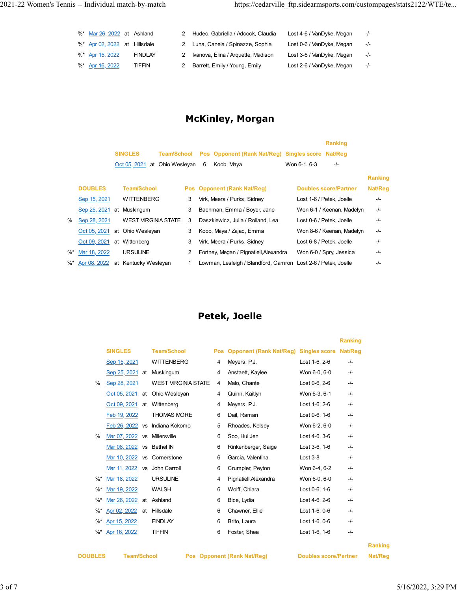| %* Mar 26, 2022 at Ashland   |                | Hudec, Gabriella / Adcock, Claudia   | Lost 4-6 / VanDyke, Megan | $-I -$ |
|------------------------------|----------------|--------------------------------------|---------------------------|--------|
| %* Apr 02, 2022 at Hillsdale |                | 2 Luna, Canela / Spinazze, Sophia    | Lost 0-6 / VanDyke, Megan | $-/-$  |
| %* Apr 15, 2022              | <b>FINDLAY</b> | 2 Ivanova, Elina / Arquette, Madison | Lost 3-6 / VanDyke, Megan | $-I -$ |
| %* Apr 16, 2022              | TIFFIN         | 2 Barrett, Emily / Young, Emily      | Lost 2-6 / VanDyke, Megan | $-I -$ |

### **McKinley, Morgan**

|        |                 |    |                            |                    |   |   |                                                               |              | <b>Ranking</b>               |                |
|--------|-----------------|----|----------------------------|--------------------|---|---|---------------------------------------------------------------|--------------|------------------------------|----------------|
|        |                 |    | <b>SINGLES</b>             | <b>Team/School</b> |   |   | Pos Opponent (Rank Nat/Reg) Singles score Nat/Reg             |              |                              |                |
|        |                 |    | Oct 05, 2021               | at Ohio Wesleyan   |   | 6 | Koob, Maya                                                    | Won 6-1, 6-3 | $-/-$                        |                |
|        |                 |    |                            |                    |   |   |                                                               |              |                              | <b>Ranking</b> |
|        | <b>DOUBLES</b>  |    | <b>Team/School</b>         |                    |   |   | Pos Opponent (Rank Nat/Reg)                                   |              | <b>Doubles score/Partner</b> | Nat/Reg        |
|        | Sep 15, 2021    |    | <b>WITTENBERG</b>          |                    | 3 |   | Virk, Meera / Purks, Sidney                                   |              | Lost 1-6 / Petek. Joelle     | -/-            |
|        | Sep 25, 2021    | at | Muskingum                  |                    | 3 |   | Bachman, Emma / Boyer, Jane                                   |              | Won 6-1 / Keenan, Madelyn    | $-/-$          |
| $\%$   | Sep 28, 2021    |    | <b>WEST VIRGINIA STATE</b> |                    | 3 |   | Daszkiewicz, Julia / Rolland, Lea                             |              | Lost 0-6 / Petek. Joelle     | -/-            |
|        | Oct 05, 2021    |    | at Ohio Wesleyan           |                    | 3 |   | Koob, Maya / Zajac, Emma                                      |              | Won 8-6 / Keenan, Madelyn    | $-/-$          |
|        | Oct 09, 2021    |    | at Wittenberg              |                    | 3 |   | Virk, Meera / Purks, Sidney                                   |              | Lost 6-8 / Petek, Joelle     | $-/-$          |
| $\%^*$ | Mar 18, 2022    |    | <b>URSULINE</b>            |                    | 2 |   | Fortney, Megan / Pignatiell, Alexandra                        |              | Won 6-0 / Spry, Jessica      | $-/-$          |
|        | %* Apr 08, 2022 |    | at Kentucky Wesleyan       |                    | 1 |   | Lowman, Lesleigh / Blandford, Camron Lost 2-6 / Petek, Joelle |              |                              | -/-            |

### **Petek, Joelle**

|        |                |           |                            |     |                                              |               | <b>Ranking</b> |  |
|--------|----------------|-----------|----------------------------|-----|----------------------------------------------|---------------|----------------|--|
|        | <b>SINGLES</b> |           | <b>Team/School</b>         | Pos | <b>Opponent (Rank Nat/Reg) Singles score</b> |               | Nat/Reg        |  |
|        | Sep 15, 2021   |           | <b>WITTENBERG</b>          | 4   | Meyers, P.J.                                 | Lost 1-6, 2-6 | $-I -$         |  |
|        | Sep 25, 2021   | at        | Muskingum                  | 4   | Anstaett, Kaylee                             | Won 6-0, 6-0  | -/-            |  |
| %      | Sep 28, 2021   |           | <b>WEST VIRGINIA STATE</b> | 4   | Malo, Chante                                 | Lost 0-6, 2-6 | -/-            |  |
|        | Oct 05, 2021   | at        | Ohio Wesleyan              | 4   | Quinn, Kaitlyn                               | Won 6-3, 6-1  | -/-            |  |
|        | Oct 09, 2021   | at        | Wittenberg                 | 4   | Meyers, P.J.                                 | Lost 1-6, 2-6 | -/-            |  |
|        | Feb 19, 2022   |           | <b>THOMAS MORE</b>         | 6   | Dail, Raman                                  | Lost 0-6, 1-6 | $-I -$         |  |
|        | Feb 26, 2022   | <b>VS</b> | Indiana Kokomo             | 5   | Rhoades, Kelsey                              | Won 6-2, 6-0  | $-I -$         |  |
| %      | Mar 07, 2022   | <b>VS</b> | Millersville               | 6   | Soo, Hui Jen                                 | Lost 4-6, 3-6 | $-/-$          |  |
|        | Mar 08, 2022   | <b>VS</b> | <b>Bethel IN</b>           | 6   | Rinkenberger, Saige                          | Lost 3-6, 1-6 | $-I -$         |  |
|        | Mar 10, 2022   | VS        | Cornerstone                | 6   | Garcia, Valentina                            | $Last 3-8$    | $-/-$          |  |
|        | Mar 11, 2022   | <b>VS</b> | John Carroll               | 6   | Crumpler, Peyton                             | Won 6-4, 6-2  | -/-            |  |
| %*     | Mar 18, 2022   |           | <b>URSULINE</b>            | 4   | Pignatiell, Alexandra                        | Won 6-0, 6-0  | -/-            |  |
| %*     | Mar 19, 2022   |           | WALSH                      | 6   | Wolff, Chiara                                | Lost 0-6, 1-6 | $-/-$          |  |
| %*     | Mar 26, 2022   | at        | Ashland                    | 6   | Bice, Lydia                                  | Lost 4-6, 2-6 | -/-            |  |
| %*     | Apr 02, 2022   | at        | Hillsdale                  | 6   | Chawner, Ellie                               | Lost 1-6, 0-6 | -/-            |  |
| %*     | Apr 15, 2022   |           | <b>FINDLAY</b>             | 6   | Brito, Laura                                 | Lost 1-6, 0-6 | -/-            |  |
| $\%$ * | Apr 16, 2022   |           | <b>TIFFIN</b>              | 6   | Foster, Shea                                 | Lost 1-6, 1-6 | -/-            |  |

**DOUBLES Team/School Pos Opponent (Rank Nat/Reg) Doubles score/Partner Nat/Reg** 

**Ranking**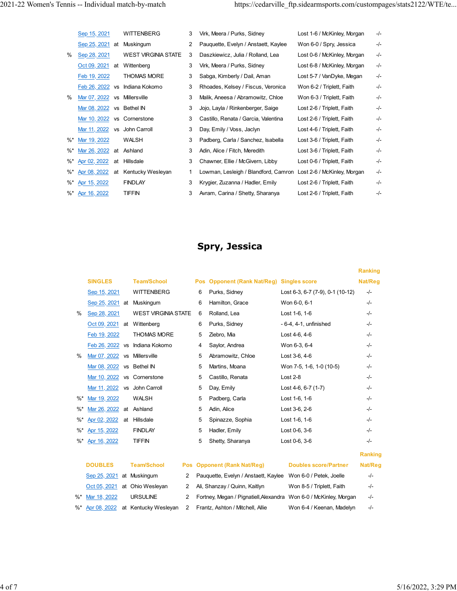|        | Sep 15, 2021                 |           | <b>WITTENBERG</b>          | 3 | Virk, Meera / Purks, Sidney                                      | Lost 1-6 / McKinley, Morgan | -/-    |
|--------|------------------------------|-----------|----------------------------|---|------------------------------------------------------------------|-----------------------------|--------|
|        | Sep 25, 2021                 | at        | Muskingum                  | 2 | Pauquette, Evelyn / Anstaett, Kaylee                             | Won 6-0 / Spry, Jessica     | $-/-$  |
| $\%$   | Sep 28, 2021                 |           | <b>WEST VIRGINIA STATE</b> | 3 | Daszkiewicz, Julia / Rolland, Lea                                | Lost 0-6 / McKinley, Morgan | -/-    |
|        | Oct 09, 2021                 | at        | Wittenberg                 | 3 | Virk, Meera / Purks, Sidney                                      | Lost 6-8 / McKinley, Morgan | -/-    |
|        | Feb 19, 2022                 |           | <b>THOMAS MORE</b>         | 3 | Sabga, Kimberly / Dail, Aman                                     | Lost 5-7 / VanDyke, Megan   | -/-    |
|        | Feb 26, 2022                 | <b>VS</b> | Indiana Kokomo             | 3 | Rhoades, Kelsey / Fiscus, Veronica                               | Won 6-2 / Triplett, Faith   | -/-    |
| $\%$   | Mar 07, 2022                 | <b>VS</b> | Millersville               | 3 | Malik, Aneesa / Abramowitz, Chloe                                | Won 6-3 / Triplett, Faith   | -/-    |
|        | Mar 08, 2022                 | <b>VS</b> | Bethel IN                  | 3 | Jojo, Layla / Rinkenberger, Saige                                | Lost 2-6 / Triplett, Faith  | $-/-$  |
|        | Mar 10, 2022                 |           | vs Cornerstone             | 3 | Castillo, Renata / Garcia, Valentina                             | Lost 2-6 / Triplett, Faith  | $-I -$ |
|        | Mar 11, 2022 vs John Carroll |           |                            | 3 | Day, Emily / Voss, Jaclyn                                        | Lost 4-6 / Triplett, Faith  | $-I -$ |
| %*     | Mar 19, 2022                 |           | <b>WALSH</b>               | 3 | Padberg, Carla / Sanchez, Isabella                               | Lost 3-6 / Triplett, Faith  | $-I -$ |
| $\%^*$ | Mar 26, 2022                 |           | at Ashland                 | 3 | Adin, Alice / Fitch, Meredith                                    | Lost 3-6 / Triplett, Faith  | -/-    |
| %*     | Apr 02, 2022                 | at        | Hillsdale                  | 3 | Chawner, Ellie / McGivern, Libby                                 | Lost 0-6 / Triplett, Faith  | -/-    |
| %*     | Apr 08, 2022                 | at        | Kentucky Wesleyan          | 1 | Lowman, Lesleigh / Blandford, Camron Lost 2-6 / McKinley, Morgan |                             | -/-    |
| %*     | Apr 15, 2022                 |           | <b>FINDLAY</b>             | 3 | Krygier, Zuzanna / Hadler, Emily                                 | Lost 2-6 / Triplett, Faith  | -/-    |
| $\%^*$ | Apr 16, 2022                 |           | TIFFIN                     | 3 | Avram, Carina / Shetty, Sharanya                                 | Lost 2-6 / Triplett, Faith  | -/-    |
|        |                              |           |                            |   |                                                                  |                             |        |

# **Spry, Jessica**

|               |                 |           |                            |            |     |                                      |                                                                   | <b>Ranking</b> |
|---------------|-----------------|-----------|----------------------------|------------|-----|--------------------------------------|-------------------------------------------------------------------|----------------|
|               | <b>SINGLES</b>  |           | <b>Team/School</b>         |            | Pos | <b>Opponent (Rank Nat/Reg)</b>       | <b>Singles score</b>                                              | Nat/Reg        |
|               | Sep 15, 2021    |           | <b>WITTENBERG</b>          |            | 6   | Purks, Sidney                        | Lost 6-3, 6-7 (7-9), 0-1 (10-12)                                  | $-/-$          |
|               | Sep 25, 2021 at |           | Muskingum                  |            | 6   | Hamilton, Grace                      | Won 6-0, 6-1                                                      | $-/-$          |
| $\frac{0}{0}$ | Sep 28, 2021    |           | <b>WEST VIRGINIA STATE</b> |            | 6   | Rolland, Lea                         | Lost 1-6, 1-6                                                     | $-/-$          |
|               | Oct 09, 2021 at |           | Wittenberg                 |            | 6   | Purks, Sidney                        | $-6-4$ , $4-1$ , unfinished                                       | $-/-$          |
|               | Feb 19, 2022    |           | <b>THOMAS MORE</b>         |            | 5   | Ziebro, Mia                          | Lost 4-6, 4-6                                                     | $-/-$          |
|               | Feb 26, 2022 vs |           | Indiana Kokomo             |            | 4   | Saylor, Andrea                       | Won 6-3, 6-4                                                      | $-/-$          |
| $\frac{0}{0}$ | Mar 07, 2022 vs |           | Millersville               |            | 5   | Abramowitz, Chloe                    | Lost 3-6, 4-6                                                     | $-/-$          |
|               | Mar 08, 2022    | <b>VS</b> | <b>Bethel IN</b>           |            | 5   | Martins, Moana                       | Won 7-5, 1-6, 1-0 (10-5)                                          | $-/-$          |
|               | Mar 10, 2022    | <b>VS</b> | Cornerstone                |            | 5   | Castillo, Renata                     | $Last 2-8$                                                        | $-I -$         |
|               | Mar 11, 2022    | <b>VS</b> | John Carroll               |            | 5   | Day, Emily                           | Lost 4-6, 6-7 (1-7)                                               | $-I -$         |
| $%$ *         | Mar 19, 2022    |           | <b>WALSH</b>               |            | 5   | Padberg, Carla                       | Lost 1-6, 1-6                                                     | $-/-$          |
| $%$ *         | Mar 26, 2022    | at        | Ashland                    |            | 5   | Adin, Alice                          | Lost 3-6, 2-6                                                     | $-/-$          |
| $%$ *         | Apr 02, 2022    | at        | Hillsdale                  |            | 5   | Spinazze, Sophia                     | Lost 1-6, 1-6                                                     | $-/-$          |
| $%$ *         | Apr 15, 2022    |           | <b>FINDLAY</b>             |            | 5   | Hadler, Emily                        | Lost 0-6, 3-6                                                     | $-/-$          |
| %             | Apr 16, 2022    |           | <b>TIFFIN</b>              |            | 5   | Shetty, Sharanya                     | Lost 0-6, 3-6                                                     | -/-            |
|               |                 |           |                            |            |     |                                      |                                                                   | Ranking        |
|               | <b>DOUBLES</b>  |           | <b>Team/School</b>         | <b>Pos</b> |     | <b>Opponent (Rank Nat/Reg)</b>       | <b>Doubles score/Partner</b>                                      | Nat/Reg        |
|               | Sep 25, 2021    |           | at Muskingum               | 2          |     | Pauguette, Evelyn / Anstaett, Kaylee | Won 6-0 / Petek, Joelle                                           | $-/-$          |
|               | Oct 05, 2021    |           | at Ohio Wesleyan           | 2          |     | Ali, Shanzay / Quinn, Kaitlyn        | Won 8-5 / Triplett, Faith                                         | $-/-$          |
| $\%$          | Mar 18, 2022    |           | <b>URSULINE</b>            | 2          |     |                                      | Fortney, Megan / Pignatiell, Alexandra Won 6-0 / McKinley, Morgan | $-I -$         |
| $%$ *         | Apr 08, 2022    |           | at Kentucky Wesleyan       | 2          |     | Frantz, Ashton / Mitchell, Allie     | Won 6-4 / Keenan, Madelyn                                         | $-/-$          |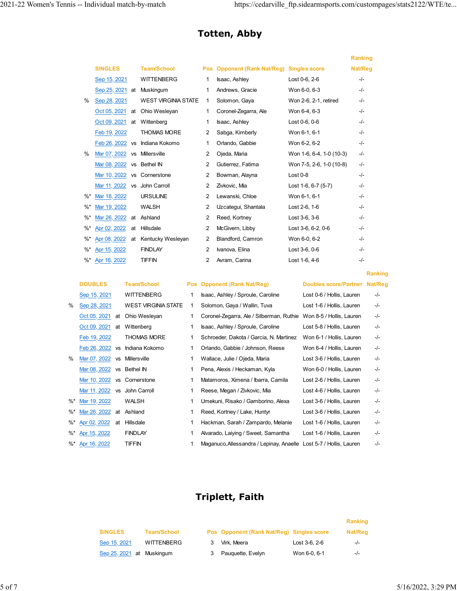**Ranking**

## **Totten, Abby**

|        |                 |           |                            |                |                                |                            | <b>Ranking</b> |
|--------|-----------------|-----------|----------------------------|----------------|--------------------------------|----------------------------|----------------|
|        | <b>SINGLES</b>  |           | <b>Team/School</b>         | <b>Pos</b>     | <b>Opponent (Rank Nat/Reg)</b> | <b>Singles score</b>       | Nat/Reg        |
|        | Sep 15, 2021    |           | <b>WITTENBERG</b>          | 1              | Isaac, Ashley                  | Lost 0-6, 2-6              | $-/-$          |
|        | Sep 25, 2021 at |           | Muskingum                  | 1              | Andrews, Gracie                | Won 6-0, 6-3               | $-/-$          |
| $\%$   | Sep 28, 2021    |           | <b>WEST VIRGINIA STATE</b> | 1              | Solomon, Gaya                  | Won 2-6, 2-1, retired      | $-/-$          |
|        | Oct 05, 2021    | at        | Ohio Wesleyan              | 1              | Coronel-Zegarra, Ale           | Won 6-4, 6-3               | -/-            |
|        | Oct 09, 2021    | at        | Wittenberg                 | 1              | Isaac, Ashley                  | Lost 0-6, 0-6              | $-I -$         |
|        | Feb 19, 2022    |           | <b>THOMAS MORE</b>         | 2              | Sabga, Kimberly                | Won 6-1, 6-1               | $-/-$          |
|        | Feb 26, 2022 vs |           | Indiana Kokomo             | 1              | Orlando, Gabbie                | Won 6-2, 6-2               | -/-            |
| $\%$   | Mar 07, 2022    | <b>VS</b> | Millersville               | 2              | Ojeda, Maria                   | Won 1-6, 6-4, 1-0 (10-3)   | $-/-$          |
|        | Mar 08, 2022    | <b>VS</b> | <b>Bethel IN</b>           | 2              | Gutierrez, Fatima              | Won 7-5, 2-6, 1-0 (10-8)   | $-/-$          |
|        | Mar 10, 2022    | <b>VS</b> | Cornerstone                | 2              | Bowman, Alayna                 | Lost $0-8$                 | -/-            |
|        | Mar 11, 2022    |           | vs John Carroll            | 2              | Zivkovic, Mia                  | Lost $1-6$ , $6-7$ $(5-7)$ | -/-            |
| $\%^*$ | Mar 18, 2022    |           | <b>URSULINE</b>            | 2              | Lewanski, Chloe                | Won 6-1, 6-1               | -/-            |
| $\%$ * | Mar 19, 2022    |           | <b>WALSH</b>               | 2              | Uzcategui, Shantala            | Lost 2-6, 1-6              | -/-            |
| $%$ *  | Mar 26, 2022    | at        | Ashland                    | $\overline{2}$ | Reed, Kortney                  | Lost 3-6, 3-6              | $-/-$          |
| $\%$ * | Apr 02, 2022    | at        | Hillsdale                  | 2              | McGivern, Libby                | Lost 3-6, 6-2, 0-6         | -/-            |
| $\%$ * | Apr 08, 2022    | at        | Kentucky Wesleyan          | 2              | Blandford, Camron              | Won 6-0, 6-2               | $-I -$         |
| $%$ *  | Apr 15, 2022    |           | <b>FINDLAY</b>             | $\overline{2}$ | Ivanova, Elina                 | Lost 3-6, 0-6              | $-/-$          |
| $%$ *  | Apr 16, 2022    |           | <b>TIFFIN</b>              | 2              | Avram, Carina                  | Lost 1-6, 4-6              | -/-            |

|        | <b>DOUBLES</b>            |           | <b>Team/School</b>         | Pos | <b>Opponent (Rank Nat/Reg)</b>                                     | Doubles score/Partner Nat/Reg |     |
|--------|---------------------------|-----------|----------------------------|-----|--------------------------------------------------------------------|-------------------------------|-----|
|        | Sep 15, 2021              |           | <b>WITTENBERG</b>          | 1   | Isaac, Ashley / Sproule, Caroline                                  | Lost 0-6 / Hollis, Lauren     | -/- |
| %      | Sep 28, 2021              |           | <b>WEST VIRGINIA STATE</b> | 1   | Solomon, Gaya / Wallin, Tuva                                       | Lost 1-6 / Hollis, Lauren     | -/- |
|        | Oct 05, 2021              | at        | Ohio Wesleyan              | 1   | Coronel-Zegarra, Ale / Silberman, Ruthie                           | Won 8-5 / Hollis, Lauren      | -/- |
|        | Oct 09, 2021              | at        | Wittenberg                 | 1   | Isaac, Ashley / Sproule, Caroline                                  | Lost 5-8 / Hollis, Lauren     | -/- |
|        | Feb 19, 2022              |           | <b>THOMAS MORE</b>         | 1   | Schroeder, Dakota / Garcia, N. Martinez                            | Won 6-1 / Hollis, Lauren      | -/- |
|        | Feb 26, 2022 vs           |           | Indiana Kokomo             | 1   | Orlando, Gabbie / Johnson, Reese                                   | Won 6-4 / Hollis, Lauren      | -/- |
| $\%$   | Mar 07, 2022              | <b>VS</b> | Millersville               | 1   | Wallace, Julie / Ojeda, Maria                                      | Lost 3-6 / Hollis, Lauren     | -/- |
|        | Mar 08, 2022 vs Bethel IN |           |                            | 1   | Pena, Alexis / Heckaman, Kyla                                      | Won 6-0 / Hollis, Lauren      | -/- |
|        | Mar 10, 2022 vs           |           | Cornerstone                | 1   | Matamoros, Ximena / Ibarra, Camila                                 | Lost 2-6 / Hollis, Lauren     | -/- |
|        | Mar 11, 2022              | <b>VS</b> | John Carroll               | 1   | Reese, Megan / Zivkovic, Mia                                       | Lost 4-6 / Hollis, Lauren     | -/- |
| $\%^*$ | Mar 19, 2022              |           | WALSH                      | 1   | Umekuni, Risako / Gamborino, Alexa                                 | Lost 3-6 / Hollis, Lauren     | -/- |
| $\%^*$ | Mar 26, 2022              | at        | Ashland                    | 1   | Reed, Kortney / Lake, Huntyr                                       | Lost 3-6 / Hollis, Lauren     | -/- |
| %*     | Apr 02, 2022              | at        | Hillsdale                  |     | Hackman, Sarah / Zampardo, Melanie                                 | Lost 1-6 / Hollis, Lauren     | -/- |
| %*     | Apr 15, 2022              |           | <b>FINDLAY</b>             | 1   | Alvarado, Laiying / Sweet, Samantha                                | Lost 1-6 / Hollis, Lauren     | -/- |
| %*     | Apr 16, 2022              |           | TIFFIN                     |     | Maganuco, Allessandra / Lepinay, Anaelle Lost 5-7 / Hollis, Lauren |                               | -/- |

### **Triplett, Faith**

|                           |                    |                                           |               | Ranking |
|---------------------------|--------------------|-------------------------------------------|---------------|---------|
| <b>SINGLES</b>            | <b>Team/School</b> | Pos Opponent (Rank Nat/Reg) Singles score |               | Nat/Reg |
| Sep 15, 2021              | <b>WITTENBERG</b>  | Virk. Meera                               | Lost 3-6, 2-6 | $-I -$  |
| Sep 25, 2021 at Muskingum |                    | Pauguette, Evelyn                         | Won 6-0, 6-1  | $-l$    |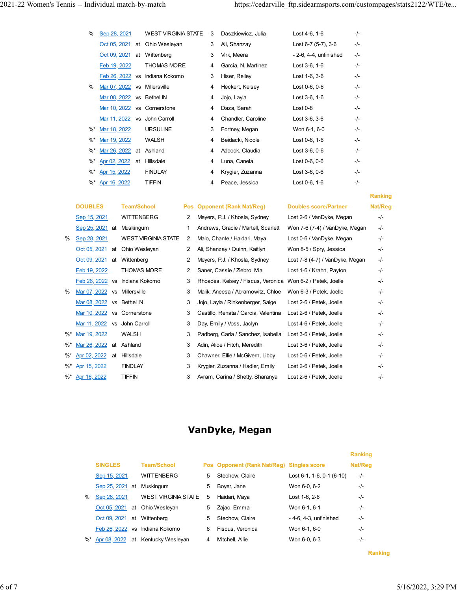| %  | Sep 28, 2021                 |    | <b>WEST VIRGINIA STATE</b>     | 3 | Daszkiewicz, Julia  | Lost 4-6, 1-6            | -/-   |
|----|------------------------------|----|--------------------------------|---|---------------------|--------------------------|-------|
|    | Oct 05, 2021                 | at | Ohio Wesleyan                  | 3 | Ali, Shanzay        | Lost 6-7 (5-7), 3-6      | -/-   |
|    | Oct 09, 2021 at              |    | Wittenberg                     | 3 | Virk, Meera         | $-2-6, 4-4$ , unfinished | -/-   |
|    | Feb 19, 2022                 |    | <b>THOMAS MORE</b>             | 4 | Garcia, N. Martinez | Lost 3-6, 1-6            | -/-   |
|    |                              |    | Feb 26, 2022 vs Indiana Kokomo | 3 | Hiser, Reiley       | Lost 1-6, 3-6            | $-/-$ |
| %  | Mar 07, 2022                 | VS | Millersville                   | 4 | Heckert, Kelsey     | Lost 0-6, 0-6            | -/-   |
|    | Mar 08, 2022 vs Bethel IN    |    |                                | 4 | Jojo, Layla         | Lost 3-6, 1-6            | $-/-$ |
|    | Mar 10, 2022 vs Cornerstone  |    |                                | 4 | Daza, Sarah         | Lost $0-8$               | -/-   |
|    | Mar 11, 2022 vs John Carroll |    |                                | 4 | Chandler, Caroline  | Lost 3-6, 3-6            | $-/-$ |
| %* | Mar 18, 2022                 |    | <b>URSULINE</b>                | 3 | Fortney, Megan      | Won 6-1, 6-0             | -/-   |
| %* | Mar 19, 2022                 |    | WALSH                          | 4 | Beidacki, Nicole    | Lost 0-6, 1-6            | -/-   |
| %* | Mar 26, 2022 at              |    | Ashland                        | 4 | Adcock, Claudia     | Lost 3-6, 0-6            | $-/-$ |
|    | %* Apr 02, 2022 at           |    | Hillsdale                      | 4 | Luna, Canela        | Lost 0-6, 0-6            | -/-   |
| %* | Apr 15, 2022                 |    | <b>FINDLAY</b>                 | 4 | Krygier, Zuzanna    | Lost 3-6, 0-6            | $-/-$ |
|    | %* Apr 16, 2022              |    | <b>TIFFIN</b>                  | 4 | Peace, Jessica      | Lost 0-6, 1-6            | -/-   |

### **DOUBLES Team/School Pos Opponent (Rank Nat/Reg) Doubles score/Partner Nat/Reg** Sep 15, 2021 WITTENBERG 2 Meyers, P.J. / Khosla, Sydney Lost 2-6 / VanDyke, Megan -/-Sep 25, 2021 at Muskingum 1 Andrews, Gracie / Martell, Scarlett Won 7-6 (7-4) / VanDyke, Megan -/-% Sep 28, 2021 WEST VIRGINIA STATE 2 Malo, Chante / Haidari, Maya Lost 0-6 / VanDyke, Megan -/-Oct 05, 2021 at Ohio Wesleyan 2 Ali, Shanzay / Quinn, Kaitlyn Won 8-5 / Spry, Jessica -/-Oct 09, 2021 at Wittenberg 2 Meyers, P.J. / Khosla, Sydney Lost 7-8 (4-7) / VanDyke, Megan -/- Feb 19, 2022 THOMAS MORE 2 Saner, Cassie / Ziebro, Mia Lost 1-6 / Krahn, Payton -/-Feb 26, 2022 vs Indiana Kokomo 3 Rhoades, Kelsey / Fiscus, Veronica Won 6-2 / Petek, Joelle -/-% Mar 07, 2022 vs Millersville 3 Malik, Aneesa / Abramowitz, Chloe Won 6-3 / Petek, Joelle -/-Mar 08, 2022 vs Bethel IN 3 Jojo, Layla / Rinkenberger, Saige Lost 2-6 / Petek, Joelle -/-Mar 10, 2022 vs Cornerstone 3 Castillo, Renata / Garcia, Valentina Lost 2-6 / Petek, Joelle -/-Mar 11, 2022 vs John Carroll 3 Day, Emily / Voss, Jaclyn Lost 4-6 / Petek, Joelle -/-%\* Mar 19, 2022 WALSH 3 Padberg, Carla / Sanchez, Isabella Lost 3-6 / Petek, Joelle -/-%\* Mar 26, 2022 at Ashland 3 Adin, Alice / Fitch, Meredith Lost 3-6 / Petek, Joelle -/-%\* Apr 02, 2022 at Hillsdale 3 Chawner, Ellie / McGivern, Libby Lost 0-6 / Petek, Joelle -/-%\* Apr 15, 2022 FINDLAY 3 Krygier, Zuzanna / Hadler, Emily Lost 2-6 / Petek, Joelle -/-%\* Apr 16, 2022 TIFFIN 3 Avram, Carina / Shetty, Sharanya Lost 2-6 / Petek, Joelle -/-

### **VanDyke, Megan**

|        |                 |    |                                   |   |                                           |                             | <b>Ranking</b> |
|--------|-----------------|----|-----------------------------------|---|-------------------------------------------|-----------------------------|----------------|
|        | <b>SINGLES</b>  |    | <b>Team/School</b>                |   | Pos Opponent (Rank Nat/Reg) Singles score |                             | Nat/Reg        |
|        | Sep 15, 2021    |    | <b>WITTENBERG</b>                 | 5 | Stechow, Claire                           | $Last 6-1, 1-6, 0-1 (6-10)$ | $-/-$          |
|        | Sep 25, 2021 at |    | Muskingum                         | 5 | Boyer, Jane                               | Won 6-0, 6-2                | -/-            |
| %      | Sep 28, 2021    |    | <b>WEST VIRGINIA STATE</b>        | 5 | Haidari, Mava                             | Lost 1-6, 2-6               | $-I -$         |
|        |                 |    | Oct 05, 2021 at Ohio Wesleyan     | 5 | Zajac, Emma                               | Won 6-1, 6-1                | $-I -$         |
|        | Oct 09, 2021    | at | Wittenberg                        | 5 | Stechow, Claire                           | $-4-6$ , $4-3$ , unfinished | $-I -$         |
|        | Feb 26, 2022 vs |    | Indiana Kokomo                    | 6 | Fiscus, Veronica                          | Won 6-1, 6-0                | $-I -$         |
| $\%$ * |                 |    | Apr 08, 2022 at Kentucky Wesleyan | 4 | Mitchell, Allie                           | Won 6-0, 6-3                | -/-            |

**Ranking**

**Ranking**

**Ranking**